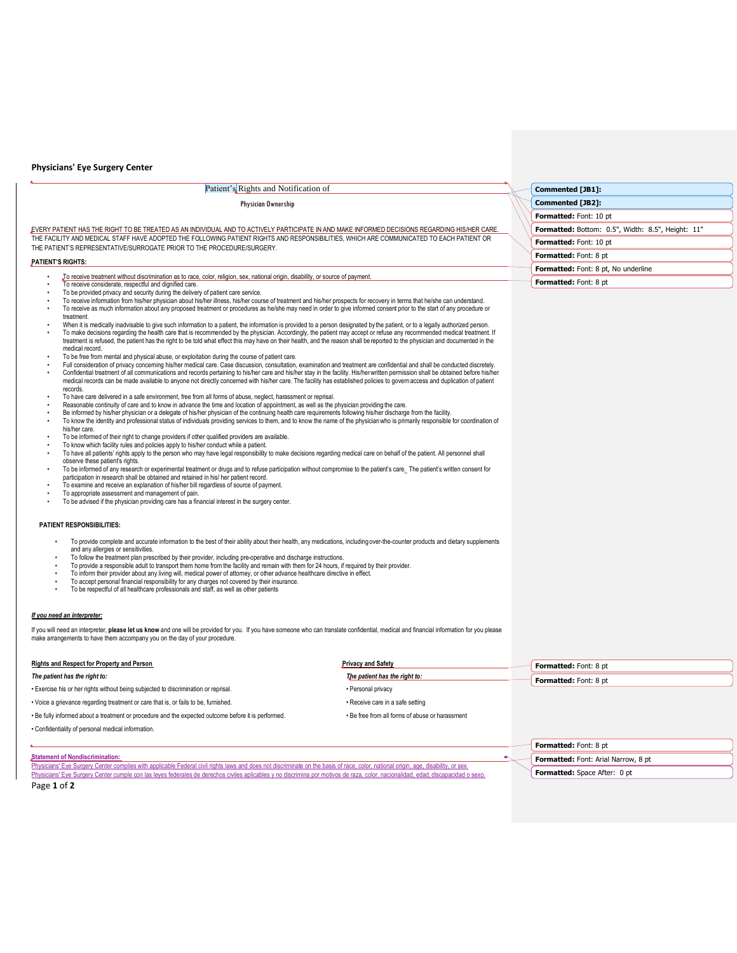## **Physicians' Eye Surgery Center**

# Patient's Rights and Notification of Physician Ownership

EVERY PATIENT HAS THE RIGHT TO BE TREATED AS AN INDIVIDUAL AND TO ACTIVELY PARTICIPATE IN AND MAKE INFORMED DECISIONS REGARDING HIS/HER CARE. THE FACILITY AND MEDICAL STAFF HAVE ADOPTED THE FOLLOWING PATIENT RIGHTS AND RESPONSIBILITIES, WHICH ARE COMMUNICATED TO EACH PATIENT OR THE PATIENT'S REPRESENTATIVE/SURROGATE PRIOR TO THE PROCEDURE/SURGERY.

## **PATIENT'S RIGHTS:**

- To receive treatment without discrimination as to race, color, religion, sex, national origin, disability, or source of payment.
- To receive considerate, respectful and dignified care.
- To be provided privacy and security during the delivery of patient care service.
- To receive information from his/her physician about his/her illness, his/her course of treatment and his/her prospects for recovery in terms that he/she can understand. • To receive as much information about any proposed treatment or procedures as he/she may need in order to give informed consent prior to the start of any procedure or
- treatment.
- When it is medically inadvisable to give such information to a patient, the information is provided to a person designated by the patient, or to a legally authorized person.<br>To make decisions regarding the health care that
- medical record. • To be free from mental and physical abuse, or exploitation during the course of patient care.
- Full consideration of privacy concerning his/her medical care. Case discussion, consultation, examination and treatment are confidential and shall be conducted discretely. • Confidential treatment of all communications and records pertaining to his/her care and his/her stay in the facility. His/herwritten permission shall be obtained before his/her
- medical records can be made available to anyone not directly concerned with his/her care. The facility has established policies to govern access and duplication of patient records.
- To have care delivered in a safe environment, free from all forms of abuse, neglect, harassment or reprisal.
- Reasonable continuity of care and to know in advance the time and location of appointment, as well as the physician providing the care.<br>• Be informed by his/her physician or a delegate of his/her physician of the continu
- To know the identity and professional status of individuals providing services to them, and to know the name of the physicianwho is primarily responsible for coordination of his/her care.
- To be informed of their right to change providers if other qualified providers are available.
- To know which facility rules and policies apply to his/her conduct while a patient.
- To have all patients' rights apply to the person who may have legal responsibility to make decisions regarding medical care on behalf of the patient. All personnel shall observe these patient's rights.
- To be informed of any research or experimental treatment or drugs and to refuse participation without compromise to the patient's care. The patient's written consent for participation in research shall be obtained and retained in his/ her patient record.
- To examine and receive an explanation of his/her bill regardless of source of payment. To appropriate assessment and management of pain.
- 
- To be advised if the physician providing care has a financial interest in the surgery center.

#### **PATIENT RESPONSIBILITIES:**

- To provide complete and accurate information to the best of their ability about their health, any medications, including over-the-counter products and dietary supplements
- and any allergies or sensitivities.
- To follow the treatment plan prescribed by their provider, including pre-operative and discharge instructions.<br>• To provide a responsible adult to transport them home from the facility and remain with them for 24 hours,
- 
- To inform their provider about any living will, medical power of attorney, or other advance healthcare directive in effect. To accept personal financial responsibility for any charges not covered by their insurance.
- To be respectful of all healthcare professionals and staff, as well as other patients

#### *If you need an interpreter:*

If you will need an interpreter, **please let us know** and one will be provided for you. If you have someone who can translate confidential, medical and financial information for you please make arrangements to have them accompany you on the day of your procedure.

## **Rights and Respect for Property and Person Privacy and Safety Privacy and Safety** *The patient has the right to: The patient has the right to:* • Exercise his or her rights without being subjected to discrimination or reprisal. • Personal privacy • Voice a grievance regarding treatment or care that is, or fails to be, furnished. **• Receive care in a safe setting** • Be fully informed about a treatment or procedure and the expected outcome before it is performed. • Be free from all forms of abuse or harassment • Confidentiality of personal medical information. **Formatted:** Font: 8 pt **Formatted:** Font: 8 pt

### **Statement of Nondiscrimination:**

Physicians' Eye Surgery Center complies with applicable Federal civil rights laws and does not discriminate on the basis of race, color, national origin, age, disability, or sex. Physicians' Eye Surgery Center cumple con las leyes federales de derechos civiles

**Formatted:** Font: 8 pt **Formatted:** Font: Arial Narrow, 8 pt **Formatted:** Space After: 0 pt

Page **1** of **2**

| Commented [JB1]:       |                                                          |
|------------------------|----------------------------------------------------------|
| Commented [JB2]:       |                                                          |
| Formatted: Font: 10 pt |                                                          |
|                        | <b>Formatted: Bottom: 0.5", Width: 8.5", Height: 11"</b> |
| Formatted: Font: 10 pt |                                                          |
| Formatted: Font: 8 pt  |                                                          |
|                        | Formatted: Font: 8 pt, No underline                      |
| Formatted: Font: 8 pt  |                                                          |